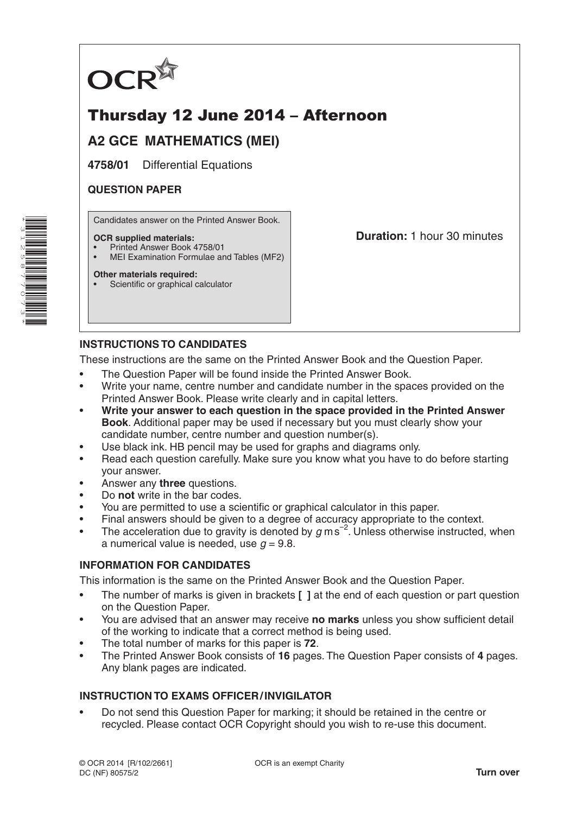

# Thursday 12 June 2014 – Afternoon

## **A2 GCE MATHEMATICS (MEI)**

**4758/01** Differential Equations

### **QUESTION PAPER**

Candidates answer on the Printed Answer Book.

### **OCR supplied materials:**

- Printed Answer Book 4758/01
- MEI Examination Formulae and Tables (MF2)

### **Other materials required:**

Scientific or graphical calculator

**Duration:** 1 hour 30 minutes

## **INSTRUCTIONS TO CANDIDATES**

These instructions are the same on the Printed Answer Book and the Question Paper.

- The Question Paper will be found inside the Printed Answer Book.
- Write your name, centre number and candidate number in the spaces provided on the Printed Answer Book. Please write clearly and in capital letters.
- **Write your answer to each question in the space provided in the Printed Answer Book**. Additional paper may be used if necessary but you must clearly show your candidate number, centre number and question number(s).
- Use black ink. HB pencil may be used for graphs and diagrams only.
- Read each question carefully. Make sure you know what you have to do before starting your answer.
- Answer any **three** questions.
- Do **not** write in the bar codes.
- You are permitted to use a scientific or graphical calculator in this paper.
- Final answers should be given to a degree of accuracy appropriate to the context.
- The acceleration due to gravity is denoted by  $g$  ms<sup>-2</sup>. Unless otherwise instructed, when a numerical value is needed, use  $q = 9.8$ .

### **INFORMATION FOR CANDIDATES**

This information is the same on the Printed Answer Book and the Question Paper.

- The number of marks is given in brackets **[ ]** at the end of each question or part question on the Question Paper.
- You are advised that an answer may receive **no marks** unless you show sufficient detail of the working to indicate that a correct method is being used.
- The total number of marks for this paper is **72**.
- The Printed Answer Book consists of **16** pages. The Question Paper consists of **4** pages. Any blank pages are indicated.

### **INSTRUCTION TO EXAMS OFFICER/INVIGILATOR**

• Do not send this Question Paper for marking; it should be retained in the centre or recycled. Please contact OCR Copyright should you wish to re-use this document.

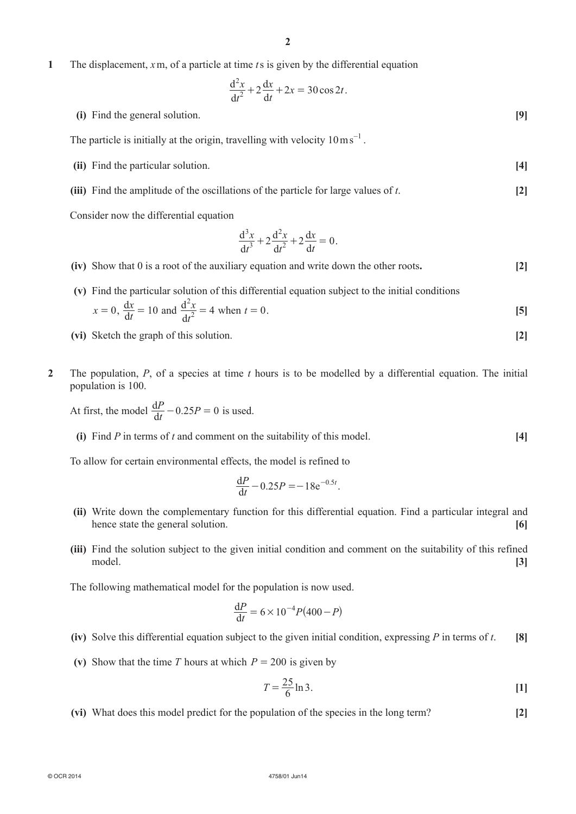**1**  The displacement, *x*m, of a particle at time *t*s is given by the differential equation

$$
\frac{\mathrm{d}^2 x}{\mathrm{d}t^2} + 2\frac{\mathrm{d}x}{\mathrm{d}t} + 2x = 30\cos 2t.
$$

**(i)** Find the general solution. **[9]** 

The particle is initially at the origin, travelling with velocity  $10 \text{ ms}^{-1}$ .

- **(ii)** Find the particular solution. **[4]**
- **(iii)** Find the amplitude of the oscillations of the particle for large values of *t*. [2]

Consider now the differential equation

$$
\frac{d^3x}{dt^3} + 2\frac{d^2x}{dt^2} + 2\frac{dx}{dt} = 0.
$$

- **(iv)** Show that 0 is a root of the auxiliary equation and write down the other roots. **[2]**
- **(v)** Find the particular solution of this differential equation subject to the initial conditions  $x = 0$ ,  $\frac{dx}{dt} = 10$  and *t*  $\frac{x}{2} = 4$ d d 2 2  $= 4$  when  $t = 0$ . [5]
	- **(vi)** Sketch the graph of this solution. **[2]**
- **2**  The population, *P*, of a species at time *t* hours is to be modelled by a differential equation. The initial population is 100.

At first, the model  $\frac{dP}{dt} - 0.25P = 0$  is used.

**(i)** Find *P* in terms of *t* and comment on the suitability of this model.  $\begin{bmatrix} 4 \end{bmatrix}$ 

To allow for certain environmental effects, the model is refined to

$$
\frac{\text{d}P}{\text{d}t} - 0.25P = -18e^{-0.5t}.
$$

- **(ii)** Write down the complementary function for this differential equation. Find a particular integral and hence state the general solution. **[6]**
- **(iii)** Find the solution subject to the given initial condition and comment on the suitability of this refined model. **[3]**

The following mathematical model for the population is now used.

$$
\frac{dP}{dt} = 6 \times 10^{-4} P(400 - P)
$$

- **(iv)** Solve this differential equation subject to the given initial condition, expressing *P* in terms of *t*. **[8]**
- **(v)** Show that the time *T* hours at which  $P = 200$  is given by

$$
T = \frac{25}{6} \ln 3.
$$
 [1]

 **(vi)**  What does this model predict for the population of the species in the long term? **[2]**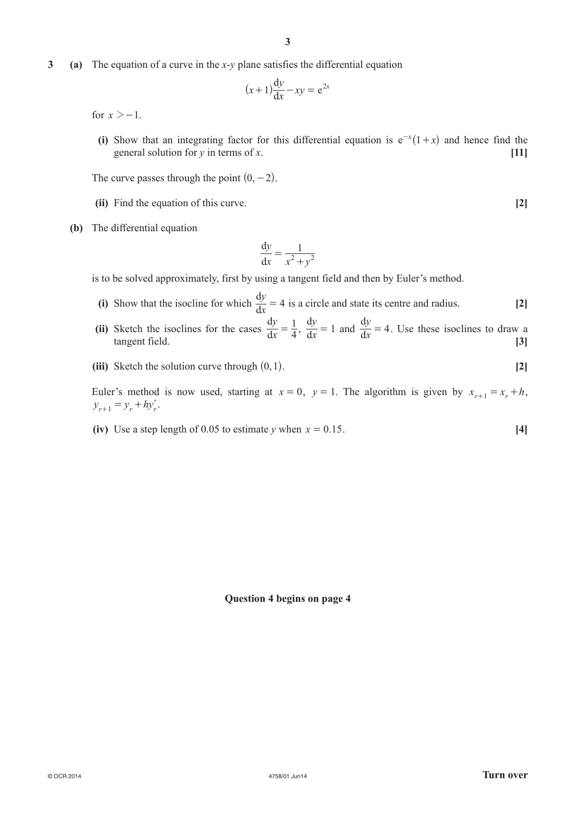**3** (a) The equation of a curve in the *x*-*y* plane satisfies the differential equation

$$
(x+1)\frac{\mathrm{d}y}{\mathrm{d}x} - xy = e^{2x}
$$

for  $x > -1$ .

**(i)** Show that an integrating factor for this differential equation is  $e^{-x}(1+x)$  and hence find the general solution for *y* in terms of *x*. **[11]**

The curve passes through the point  $(0, -2)$ .

- **(ii)** Find the equation of this curve. **[2]**
- **(b)** The differential equation

$$
\frac{\mathrm{d}y}{\mathrm{d}x} = \frac{1}{x^2 + y^2}
$$

is to be solved approximately, first by using a tangent field and then by Euler's method.

- **(i)** Show that the isocline for which  $\frac{dy}{dx} = 4$  is a circle and state its centre and radius. **[2]**
- (ii) Sketch the isoclines for the cases  $\frac{dy}{dx}$ *y* 4 1  $\frac{dy}{dx} = \frac{1}{4}$ ,  $\frac{dy}{dx} = 1$  and  $\frac{dy}{dx} = 4$ . Use these isoclines to draw a tangent field. **[3]**
	- *(iii)* Sketch the solution curve through  $(0, 1)$ . [2]

Euler's method is now used, starting at  $x = 0$ ,  $y = 1$ . The algorithm is given by  $x_{r+1} = x_r + h$ ,  $y_{r+1} = y_r + hy'_r.$ 

**(iv)** Use a step length of 0.05 to estimate *y* when  $x = 0.15$ . [4]

#### **Question 4 begins on page 4**